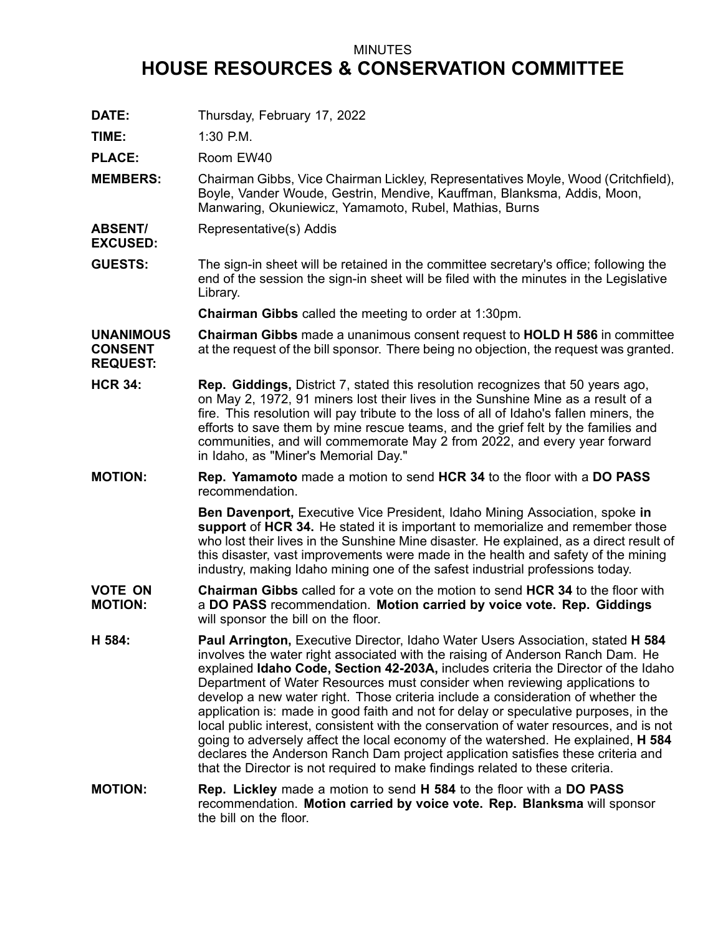## MINUTES **HOUSE RESOURCES & CONSERVATION COMMITTEE**

**DATE:** Thursday, February 17, 2022

**TIME:** 1:30 P.M.

PLACE: Room EW40

- **MEMBERS:** Chairman Gibbs, Vice Chairman Lickley, Representatives Moyle, Wood (Critchfield), Boyle, Vander Woude, Gestrin, Mendive, Kauffman, Blanksma, Addis, Moon, Manwaring, Okuniewicz, Yamamoto, Rubel, Mathias, Burns
- **ABSENT/ EXCUSED:** Representative(s) Addis
- **GUESTS:** The sign-in sheet will be retained in the committee secretary's office; following the end of the session the sign-in sheet will be filed with the minutes in the Legislative Library.

**Chairman Gibbs** called the meeting to order at 1:30pm.

**UNANIMOUS CONSENT REQUEST: Chairman Gibbs** made <sup>a</sup> unanimous consent request to **HOLD H 586** in committee at the request of the bill sponsor. There being no objection, the request was granted.

- **HCR 34: Rep. Giddings,** District 7, stated this resolution recognizes that 50 years ago, on May 2, 1972, 91 miners lost their lives in the Sunshine Mine as <sup>a</sup> result of <sup>a</sup> fire. This resolution will pay tribute to the loss of all of Idaho's fallen miners, the efforts to save them by mine rescue teams, and the grief felt by the families and communities, and will commemorate May 2 from 2022, and every year forward in Idaho, as "Miner's Memorial Day."
- **MOTION: Rep. Yamamoto** made <sup>a</sup> motion to send **HCR 34** to the floor with <sup>a</sup> **DO PASS** recommendation.

**Ben Davenport,** Executive Vice President, Idaho Mining Association, spoke **in support** of **HCR 34.** He stated it is important to memorialize and remember those who lost their lives in the Sunshine Mine disaster. He explained, as <sup>a</sup> direct result of this disaster, vast improvements were made in the health and safety of the mining industry, making Idaho mining one of the safest industrial professions today.

- **VOTE ON MOTION: Chairman Gibbs** called for a vote on the motion to send **HCR 34** to the floor with <sup>a</sup> **DO PASS** recommendation. **Motion carried by voice vote. Rep. Giddings** will sponsor the bill on the floor.
- **H 584: Paul Arrington,** Executive Director, Idaho Water Users Association, stated **H 584** involves the water right associated with the raising of Anderson Ranch Dam. He explained **Idaho Code, Section 42-203A,** includes criteria the Director of the Idaho Department of Water Resources must consider when reviewing applications to develop <sup>a</sup> new water right. Those criteria include <sup>a</sup> consideration of whether the application is: made in good faith and not for delay or speculative purposes, in the local public interest, consistent with the conservation of water resources, and is not going to adversely affect the local economy of the watershed. He explained, **H 584** declares the Anderson Ranch Dam project application satisfies these criteria and that the Director is not required to make findings related to these criteria.
- **MOTION: Rep. Lickley** made <sup>a</sup> motion to send **H 584** to the floor with <sup>a</sup> **DO PASS** recommendation. **Motion carried by voice vote. Rep. Blanksma** will sponsor the bill on the floor.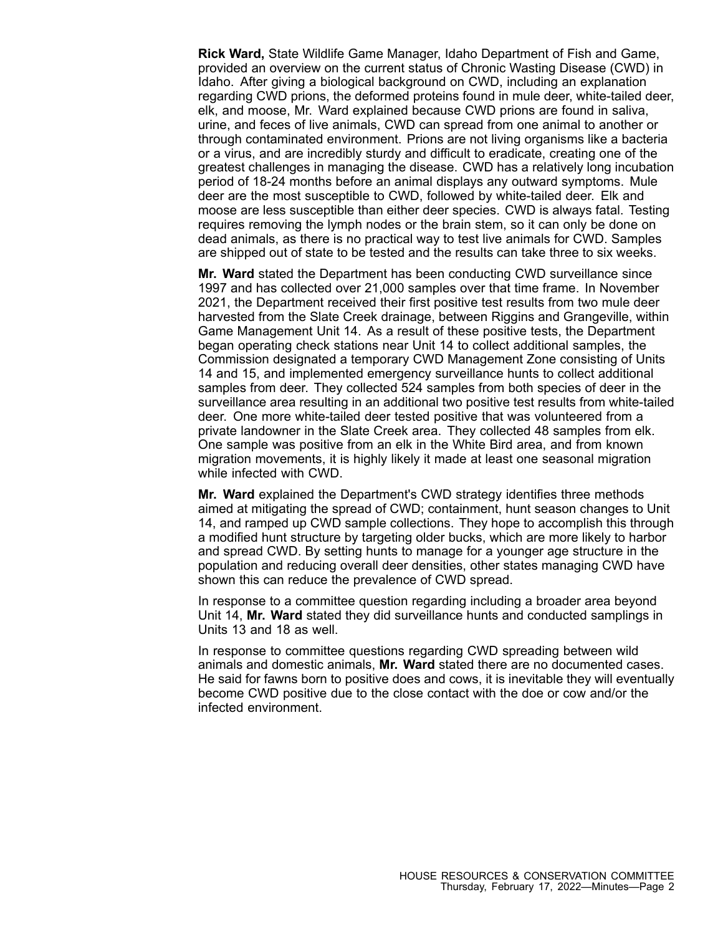**Rick Ward,** State Wildlife Game Manager, Idaho Department of Fish and Game, provided an overview on the current status of Chronic Wasting Disease (CWD) in Idaho. After giving <sup>a</sup> biological background on CWD, including an explanation regarding CWD prions, the deformed proteins found in mule deer, white-tailed deer, elk, and moose, Mr. Ward explained because CWD prions are found in saliva, urine, and feces of live animals, CWD can spread from one animal to another or through contaminated environment. Prions are not living organisms like <sup>a</sup> bacteria or <sup>a</sup> virus, and are incredibly sturdy and difficult to eradicate, creating one of the greatest challenges in managing the disease. CWD has <sup>a</sup> relatively long incubation period of 18-24 months before an animal displays any outward symptoms. Mule deer are the most susceptible to CWD, followed by white-tailed deer. Elk and moose are less susceptible than either deer species. CWD is always fatal. Testing requires removing the lymph nodes or the brain stem, so it can only be done on dead animals, as there is no practical way to test live animals for CWD. Samples are shipped out of state to be tested and the results can take three to six weeks.

**Mr. Ward** stated the Department has been conducting CWD surveillance since 1997 and has collected over 21,000 samples over that time frame. In November 2021, the Department received their first positive test results from two mule deer harvested from the Slate Creek drainage, between Riggins and Grangeville, within Game Management Unit 14. As <sup>a</sup> result of these positive tests, the Department began operating check stations near Unit 14 to collect additional samples, the Commission designated <sup>a</sup> temporary CWD Management Zone consisting of Units 14 and 15, and implemented emergency surveillance hunts to collect additional samples from deer. They collected 524 samples from both species of deer in the surveillance area resulting in an additional two positive test results from white-tailed deer. One more white-tailed deer tested positive that was volunteered from <sup>a</sup> private landowner in the Slate Creek area. They collected 48 samples from elk. One sample was positive from an elk in the White Bird area, and from known migration movements, it is highly likely it made at least one seasonal migration while infected with CWD.

**Mr. Ward** explained the Department's CWD strategy identifies three methods aimed at mitigating the spread of CWD; containment, hunt season changes to Unit 14, and ramped up CWD sample collections. They hope to accomplish this through <sup>a</sup> modified hunt structure by targeting older bucks, which are more likely to harbor and spread CWD. By setting hunts to manage for <sup>a</sup> younger age structure in the population and reducing overall deer densities, other states managing CWD have shown this can reduce the prevalence of CWD spread.

In response to <sup>a</sup> committee question regarding including <sup>a</sup> broader area beyond Unit 14, **Mr. Ward** stated they did surveillance hunts and conducted samplings in Units 13 and 18 as well.

In response to committee questions regarding CWD spreading between wild animals and domestic animals, **Mr. Ward** stated there are no documented cases. He said for fawns born to positive does and cows, it is inevitable they will eventually become CWD positive due to the close contact with the doe or cow and/or the infected environment.